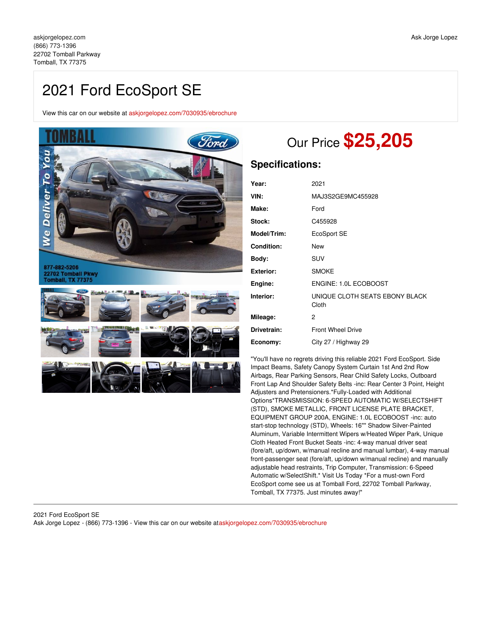# 2021 Ford EcoSport SE

View this car on our website at [askjorgelopez.com/7030935/ebrochure](https://askjorgelopez.com/vehicle/7030935/2021-ford-ecosport-se-tomball-tx-77375/7030935/ebrochure)



# Our Price **\$25,205**

# **Specifications:**

| Year:             | 2021                                    |
|-------------------|-----------------------------------------|
| VIN:              | MAJ3S2GE9MC455928                       |
| Make:             | Ford                                    |
| Stock:            | C455928                                 |
| Model/Trim:       | EcoSport SE                             |
| <b>Condition:</b> | New                                     |
| Body:             | SUV                                     |
| <b>Exterior:</b>  | <b>SMOKE</b>                            |
| Engine:           | ENGINE: 1.0L ECOBOOST                   |
| Interior:         | UNIQUE CLOTH SEATS EBONY BLACK<br>Cloth |
| Mileage:          | 2                                       |
| Drivetrain:       | <b>Front Wheel Drive</b>                |
| Economy:          | City 27 / Highway 29                    |

"You'll have no regrets driving this reliable 2021 Ford EcoSport. Side Impact Beams, Safety Canopy System Curtain 1st And 2nd Row Airbags, Rear Parking Sensors, Rear Child Safety Locks, Outboard Front Lap And Shoulder Safety Belts -inc: Rear Center 3 Point, Height Adjusters and Pretensioners.\*Fully-Loaded with Additional Options\*TRANSMISSION: 6-SPEED AUTOMATIC W/SELECTSHIFT (STD), SMOKE METALLIC, FRONT LICENSE PLATE BRACKET, EQUIPMENT GROUP 200A, ENGINE: 1.0L ECOBOOST -inc: auto start-stop technology (STD), Wheels: 16"" Shadow Silver-Painted Aluminum, Variable Intermittent Wipers w/Heated Wiper Park, Unique Cloth Heated Front Bucket Seats -inc: 4-way manual driver seat (fore/aft, up/down, w/manual recline and manual lumbar), 4-way manual front-passenger seat (fore/aft, up/down w/manual recline) and manually adjustable head restraints, Trip Computer, Transmission: 6-Speed Automatic w/SelectShift.\* Visit Us Today \*For a must-own Ford EcoSport come see us at Tomball Ford, 22702 Tomball Parkway, Tomball, TX 77375. Just minutes away!"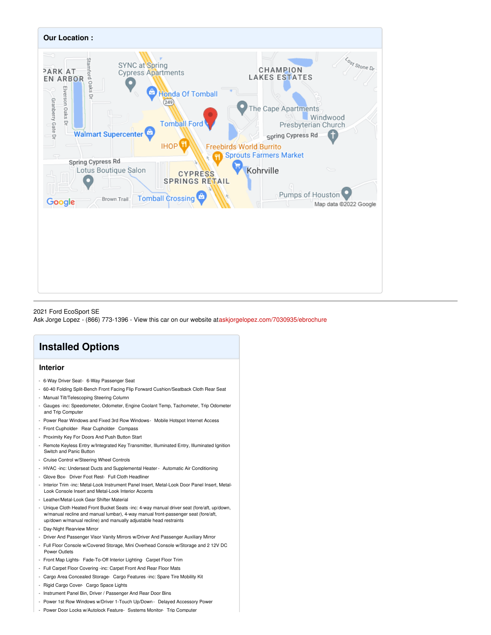

2021 Ford EcoSport SE Ask Jorge Lopez - (866) 773-1396 - View this car on our website at[askjorgelopez.com/7030935/ebrochure](https://askjorgelopez.com/vehicle/7030935/2021-ford-ecosport-se-tomball-tx-77375/7030935/ebrochure)

# **Installed Options**

### **Interior**

- 6-Way Driver Seat- 6-Way Passenger Seat
- 60-40 Folding Split-Bench Front Facing Flip Forward Cushion/Seatback Cloth Rear Seat
- Manual Tilt/Telescoping Steering Column
- Gauges -inc: Speedometer, Odometer, Engine Coolant Temp, Tachometer, Trip Odometer and Trip Computer
- Power Rear Windows and Fixed 3rd Row Windows- Mobile Hotspot Internet Access
- Front Cupholder- Rear Cupholder- Compass
- Proximity Key For Doors And Push Button Start
- Remote Keyless Entry w/Integrated Key Transmitter, Illuminated Entry, Illuminated Ignition Switch and Panic Button
- Cruise Control w/Steering Wheel Controls
- HVAC -inc: Underseat Ducts and Supplemental Heater Automatic Air Conditioning
- Glove Box- Driver Foot Rest- Full Cloth Headliner
- Interior Trim -inc: Metal-Look Instrument Panel Insert, Metal-Look Door Panel Insert, Metal-Look Console Insert and Metal-Look Interior Accents
- Leather/Metal-Look Gear Shifter Material
- Unique Cloth Heated Front Bucket Seats -inc: 4-way manual driver seat (fore/aft, up/down, w/manual recline and manual lumbar), 4-way manual front-passenger seat (fore/aft, up/down w/manual recline) and manually adjustable head restraints
- Day-Night Rearview Mirror
- Driver And Passenger Visor Vanity Mirrors w/Driver And Passenger Auxiliary Mirror
- Full Floor Console w/Covered Storage, Mini Overhead Console w/Storage and 2 12V DC Power Outlets
- Front Map Lights- Fade-To-Off Interior Lighting- Carpet Floor Trim
- Full Carpet Floor Covering -inc: Carpet Front And Rear Floor Mats
- Cargo Area Concealed Storage- Cargo Features -inc: Spare Tire Mobility Kit
- Rigid Cargo Cover- Cargo Space Lights
- Instrument Panel Bin, Driver / Passenger And Rear Door Bins
- Power 1st Row Windows w/Driver 1-Touch Up/Down Delayed Accessory Power
- Power Door Locks w/Autolock Feature- Svstems Monitor- Trip Computer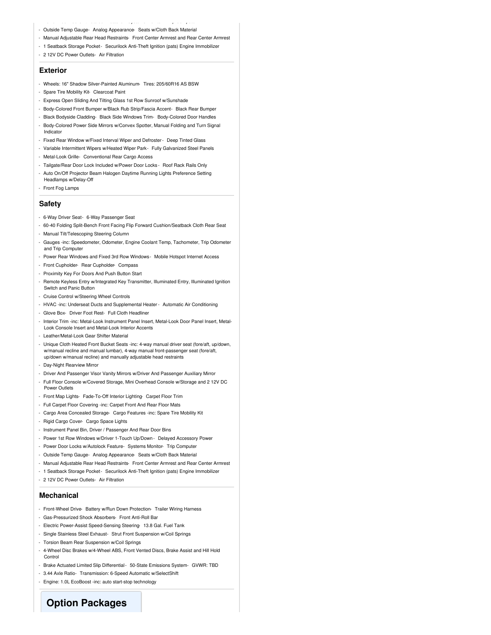- Power Door Locks w/Autolock Feature- Systems Monitor- Trip Computer - Outside Temp Gauge- Analog Appearance- Seats w/Cloth Back Material
- Manual Adjustable Rear Head Restraints- Front Center Armrest and Rear Center Armrest
- 1 Seatback Storage Pocket Securilock Anti-Theft Ignition (pats) Engine Immobilizer
- 2 12V DC Power Outlets- Air Filtration

#### **Exterior**

- Wheels: 16" Shadow Silver-Painted Aluminum- Tires: 205/60R16 AS BSW
- Spare Tire Mobility Kit- Clearcoat Paint
- Express Open Sliding And Tilting Glass 1st Row Sunroof w/Sunshade
- Body-Colored Front Bumper w/Black Rub Strip/Fascia Accent- Black Rear Bumper
- Black Bodyside Cladding- Black Side Windows Trim- Body-Colored Door Handles - Body-Colored Power Side Mirrors w/Convex Spotter, Manual Folding and Turn Signal
- Indicator
- Fixed Rear Window w/Fixed Interval Wiper and Defroster- Deep Tinted Glass
- Variable Intermittent Wipers w/Heated Wiper Park- Fully Galvanized Steel Panels
- Metal-Look Grille- Conventional Rear Cargo Access
- Tailgate/Rear Door Lock Included w/Power Door Locks Roof Rack Rails Only
- Auto On/Off Projector Beam Halogen Daytime Running Lights Preference Setting Headlamps w/Delay-Off
- Front Fog Lamps

#### **Safety**

- 6-Way Driver Seat- 6-Way Passenger Seat
- 60-40 Folding Split-Bench Front Facing Flip Forward Cushion/Seatback Cloth Rear Seat
- Manual Tilt/Telescoping Steering Column
- Gauges -inc: Speedometer, Odometer, Engine Coolant Temp, Tachometer, Trip Odometer and Trip Computer
- Power Rear Windows and Fixed 3rd Row Windows- Mobile Hotspot Internet Access
- Front Cupholder- Rear Cupholder- Compass
- Proximity Key For Doors And Push Button Start
- Remote Keyless Entry w/Integrated Key Transmitter, Illuminated Entry, Illuminated Ignition Switch and Panic Button
- Cruise Control w/Steering Wheel Controls
- HVAC -inc: Underseat Ducts and Supplemental Heater Automatic Air Conditioning
- Glove Box- Driver Foot Rest- Full Cloth Headliner
- Interior Trim -inc: Metal-Look Instrument Panel Insert, Metal-Look Door Panel Insert, Metal-Look Console Insert and Metal-Look Interior Accents
- Leather/Metal-Look Gear Shifter Material
- Unique Cloth Heated Front Bucket Seats -inc: 4-way manual driver seat (fore/aft, up/down, w/manual recline and manual lumbar), 4-way manual front-passenger seat (fore/aft, up/down w/manual recline) and manually adjustable head restraints
- Day-Night Rearview Mirror
- Driver And Passenger Visor Vanity Mirrors w/Driver And Passenger Auxiliary Mirror
- Full Floor Console w/Covered Storage, Mini Overhead Console w/Storage and 2 12V DC Power Outlets
- Front Map Lights- Fade-To-Off Interior Lighting- Carpet Floor Trim
- Full Carpet Floor Covering -inc: Carpet Front And Rear Floor Mats
- Cargo Area Concealed Storage- Cargo Features -inc: Spare Tire Mobility Kit
- Rigid Cargo Cover- Cargo Space Lights
- Instrument Panel Bin, Driver / Passenger And Rear Door Bins
- Power 1st Row Windows w/Driver 1-Touch Up/Down Delayed Accessory Power
- Power Door Locks w/Autolock Feature- Systems Monitor- Trip Computer
- Outside Temp Gauge- Analog Appearance- Seats w/Cloth Back Material
- Manual Adjustable Rear Head Restraints- Front Center Armrest and Rear Center Armrest
- 1 Seatback Storage Pocket- Securilock Anti-Theft Ignition (pats) Engine Immobilizer
- 2 12V DC Power Outlets- Air Filtration

#### **Mechanical**

- Front-Wheel Drive- Battery w/Run Down Protection- Trailer Wiring Harness
- Gas-Pressurized Shock Absorbers- Front Anti-Roll Bar
- Electric Power-Assist Speed-Sensing Steering- 13.8 Gal. Fuel Tank
- Single Stainless Steel Exhaust- Strut Front Suspension w/Coil Springs
- Torsion Beam Rear Suspension w/Coil Springs
- 4-Wheel Disc Brakes w/4-Wheel ABS, Front Vented Discs, Brake Assist and Hill Hold Control
- Brake Actuated Limited Slip Differential- 50-State Emissions System- GVWR: TBD
- 3.44 Axle Ratio- Transmission: 6-Speed Automatic w/SelectShift
- Engine: 1.0L EcoBoost -inc: auto start-stop technology

### **Option Packages**